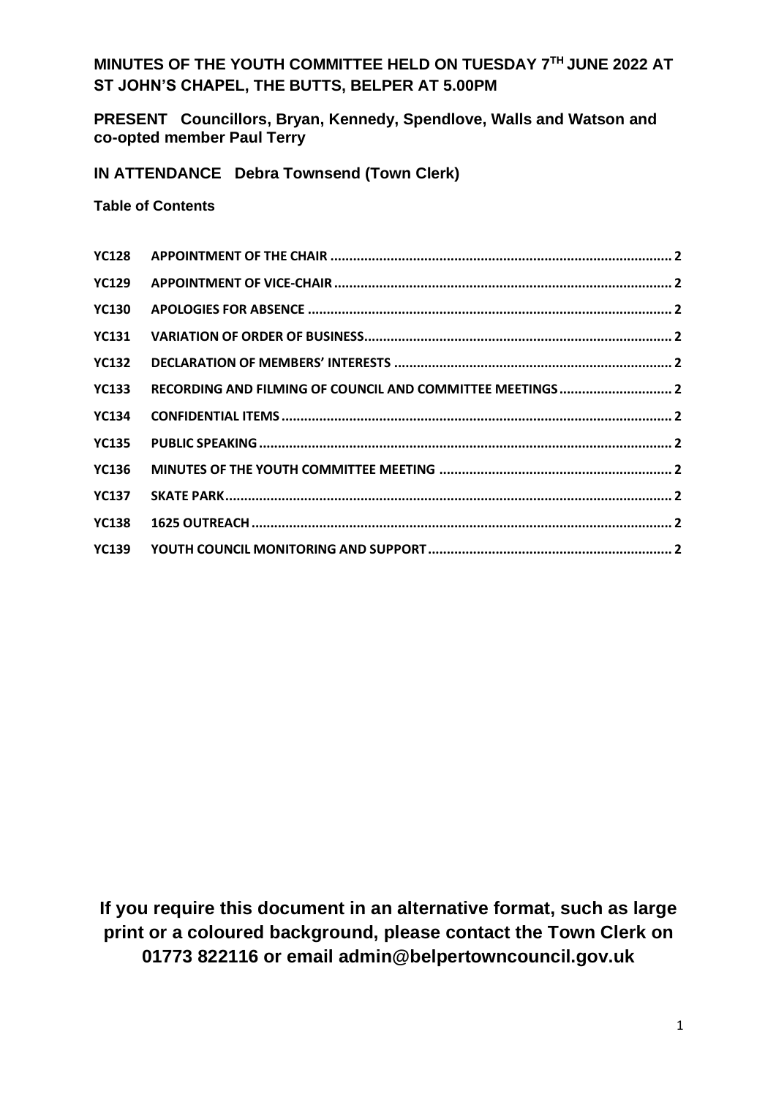## **MINUTES OF THE YOUTH COMMITTEE HELD ON TUESDAY 7 TH JUNE 2022 AT ST JOHN'S CHAPEL, THE BUTTS, BELPER AT 5.00PM**

**PRESENT Councillors, Bryan, Kennedy, Spendlove, Walls and Watson and co-opted member Paul Terry**

**IN ATTENDANCE Debra Townsend (Town Clerk)**

**Table of Contents**

| <b>YC130</b> |  |
|--------------|--|
|              |  |
| <b>YC132</b> |  |
| <b>YC133</b> |  |
| <b>YC134</b> |  |
|              |  |
|              |  |
|              |  |
|              |  |
|              |  |
|              |  |

**If you require this document in an alternative format, such as large print or a coloured background, please contact the Town Clerk on 01773 822116 or email admin@belpertowncouncil.gov.uk**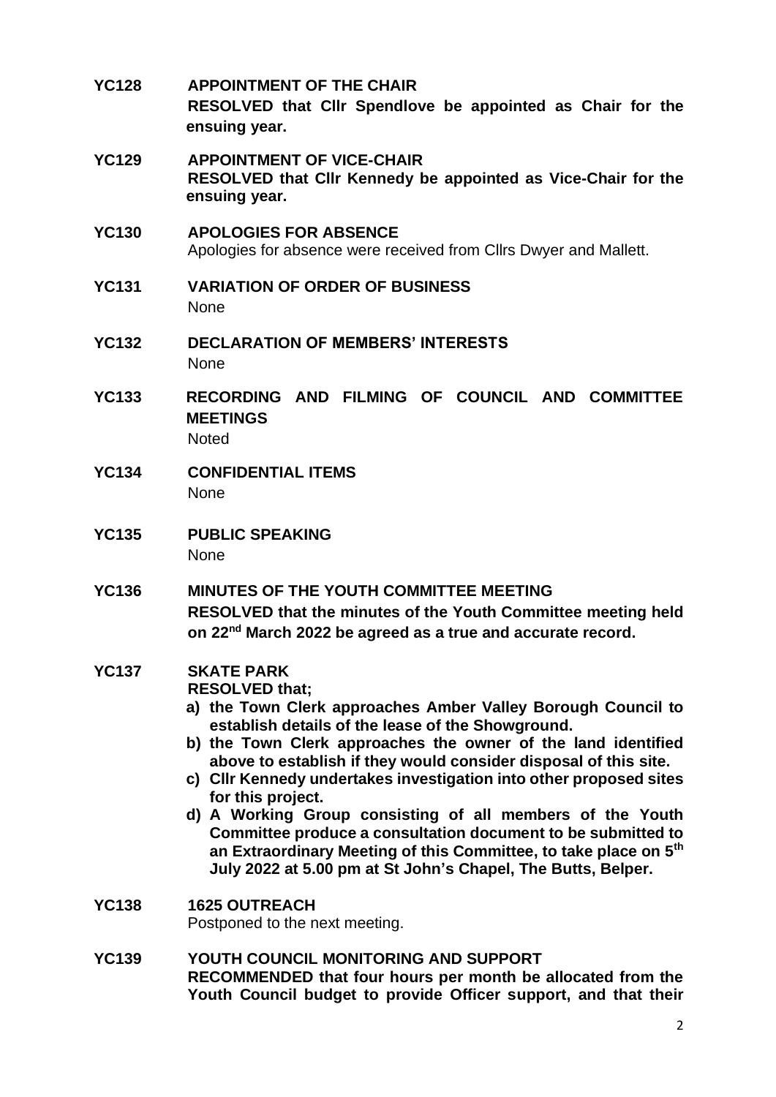- **YC128 APPOINTMENT OF THE CHAIR RESOLVED that Cllr Spendlove be appointed as Chair for the ensuing year. YC129 APPOINTMENT OF VICE-CHAIR RESOLVED that Cllr Kennedy be appointed as Vice-Chair for the ensuing year. YC130 APOLOGIES FOR ABSENCE** Apologies for absence were received from Cllrs Dwyer and Mallett. **YC131 VARIATION OF ORDER OF BUSINESS** None **YC132 DECLARATION OF MEMBERS' INTERESTS** None **YC133 RECORDING AND FILMING OF COUNCIL AND COMMITTEE MEETINGS Noted YC134 CONFIDENTIAL ITEMS** None **YC135 PUBLIC SPEAKING** None **YC136 MINUTES OF THE YOUTH COMMITTEE MEETING RESOLVED that the minutes of the Youth Committee meeting held on 22nd March 2022 be agreed as a true and accurate record. YC137 SKATE PARK RESOLVED that; a) the Town Clerk approaches Amber Valley Borough Council to establish details of the lease of the Showground. b) the Town Clerk approaches the owner of the land identified above to establish if they would consider disposal of this site. c) Cllr Kennedy undertakes investigation into other proposed sites for this project.**
	- **d) A Working Group consisting of all members of the Youth Committee produce a consultation document to be submitted to an Extraordinary Meeting of this Committee, to take place on 5th July 2022 at 5.00 pm at St John's Chapel, The Butts, Belper.**
- **YC138 1625 OUTREACH** Postponed to the next meeting.
- **YC139 YOUTH COUNCIL MONITORING AND SUPPORT RECOMMENDED that four hours per month be allocated from the Youth Council budget to provide Officer support, and that their**